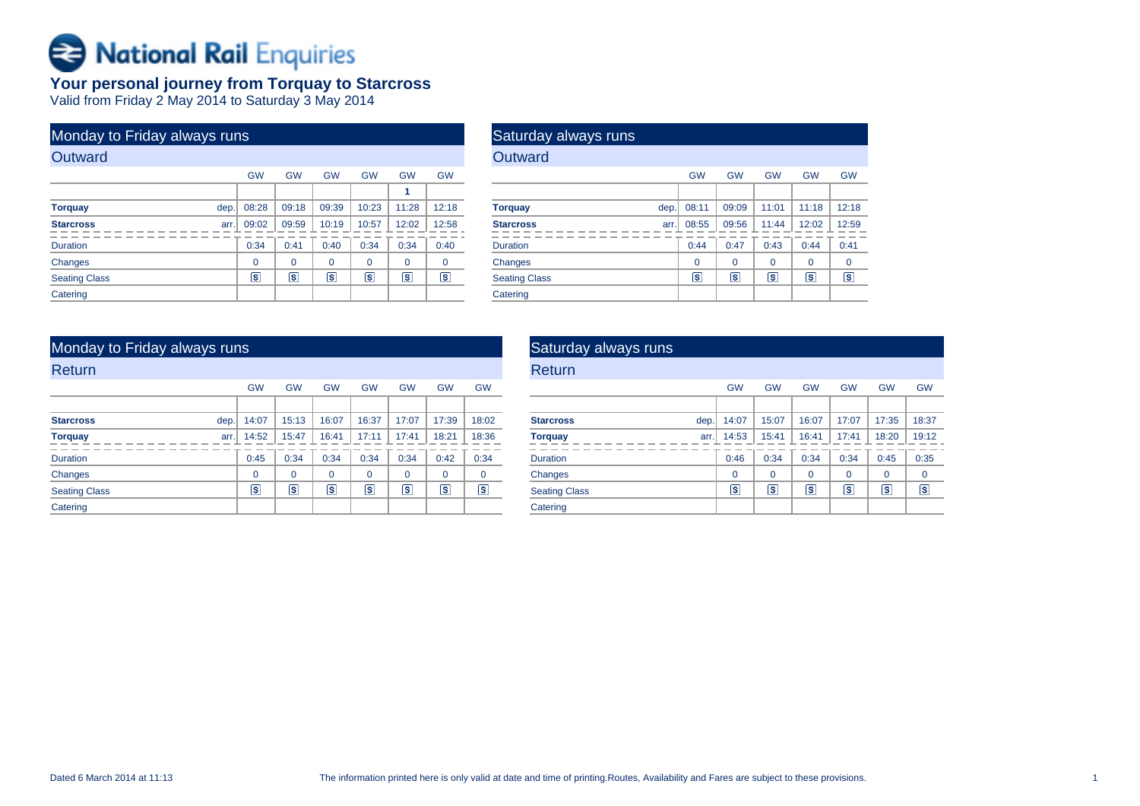# Rational Rail Enquiries

## **Your personal journey from Torquay to Starcross** Valid from Friday 2 May 2014 to Saturday 3 May 2014

| Monday to Friday always runs |           |           |                 |           |           |                   |
|------------------------------|-----------|-----------|-----------------|-----------|-----------|-------------------|
| Outward                      |           |           |                 |           |           |                   |
|                              | <b>GW</b> | <b>GW</b> | <b>GW</b>       | <b>GW</b> | <b>GW</b> | <b>GW</b>         |
|                              |           |           |                 |           | 1         |                   |
| dep.<br><b>Torquay</b>       | 08:28     | 09:18     | 09:39           | 10:23     | 11:28     | 12:18             |
| <b>Starcross</b><br>arr.     | 09:02     | 09:59     | 10:19           | 10:57     | 12:02     | 12:58             |
| <b>Duration</b>              | 0:34      | 0:41      | 0:40            | 0:34      | 0:34      | 0:40              |
| <b>Changes</b>               | $\Omega$  | $\Omega$  | $\Omega$        | $\Omega$  | $\Omega$  | $\Omega$          |
| <b>Seating Class</b>         | ls.       | s         | $\vert s \vert$ | ls.       | ls        | $\vert$ s $\vert$ |
| Catering                     |           |           |                 |           |           |                   |

| <b>Saturday always runs</b> |      |                |                   |                         |                 |                   |
|-----------------------------|------|----------------|-------------------|-------------------------|-----------------|-------------------|
| Outward                     |      |                |                   |                         |                 |                   |
|                             |      | <b>GW</b>      | <b>GW</b>         | <b>GW</b>               | <b>GW</b>       | <b>GW</b>         |
|                             |      |                |                   |                         |                 |                   |
| <b>Torquay</b>              | dep. | 08:11          | 09:09             | 11:01                   | 11:18           | 12:18             |
| <b>Starcross</b>            | arr. | 08:55          | 09:56             | 11:44                   | 12:02           | 12:59             |
| <b>Duration</b>             |      | 0:44           | 0:47              | 0:43                    | 0:44            | 0:41              |
| Changes                     |      | $\Omega$       | $\Omega$          | $\Omega$                | $\Omega$        | 0                 |
| <b>Seating Class</b>        |      | $ \mathbf{s} $ | $\vert$ s $\vert$ | $\overline{\mathbf{s}}$ | $\vert s \vert$ | $\vert$ s $\vert$ |
| Catering                    |      |                |                   |                         |                 |                   |

## Monday to Friday always runs

| Return               |      |                         |           |                |           |           |           |             |
|----------------------|------|-------------------------|-----------|----------------|-----------|-----------|-----------|-------------|
|                      |      | <b>GW</b>               | <b>GW</b> | <b>GW</b>      | <b>GW</b> | <b>GW</b> | <b>GW</b> | <b>GW</b>   |
|                      |      |                         |           |                |           |           |           |             |
| <b>Starcross</b>     | dep. | 14:07                   | 15:13     | 16:07          | 16:37     | 17:07     | 17:39     | 18:02       |
| <b>Torquay</b>       | arr. | 14:52                   | 15:47     | 16:41          | 17:11     | 17:41     | 18:21     | 18:36       |
| <b>Duration</b>      |      | 0:45                    | 0:34      | 0:34           | 0:34      | 0:34      | 0:42      | 0:34        |
| Changes              |      | $\mathbf 0$             | $\Omega$  | $\Omega$       | $\Omega$  | $\Omega$  | 0         | $\mathbf 0$ |
| <b>Seating Class</b> |      | $\overline{\mathbf{s}}$ | ls        | $ \mathsf{s} $ | Γs        | Γs        | s         | Γs          |
| Catering             |      |                         |           |                |           |           |           |             |

| Saturday always runs     |           |                         |           |           |                |           |
|--------------------------|-----------|-------------------------|-----------|-----------|----------------|-----------|
| Return                   |           |                         |           |           |                |           |
|                          | <b>GW</b> | <b>GW</b>               | <b>GW</b> | <b>GW</b> | <b>GW</b>      | <b>GW</b> |
|                          |           |                         |           |           |                |           |
| <b>Starcross</b><br>dep. | 14:07     | 15:07                   | 16:07     | 17:07     | 17:35          | 18:37     |
| <b>Torquay</b><br>arr.   | 14:53     | 15:41                   | 16:41     | 17:41     | 18:20          | 19:12     |
| <b>Duration</b>          | 0:46      | 0:34                    | 0:34      | 0:34      | 0:45           | 0:35      |
| Changes                  | $\Omega$  | $\Omega$                | $\Omega$  | $\Omega$  | $\Omega$       | $\Omega$  |
| <b>Seating Class</b>     | īs١       | $\overline{\mathbf{s}}$ | ß         | ls        | $ \mathsf{s} $ | ls        |
| Catering                 |           |                         |           |           |                |           |